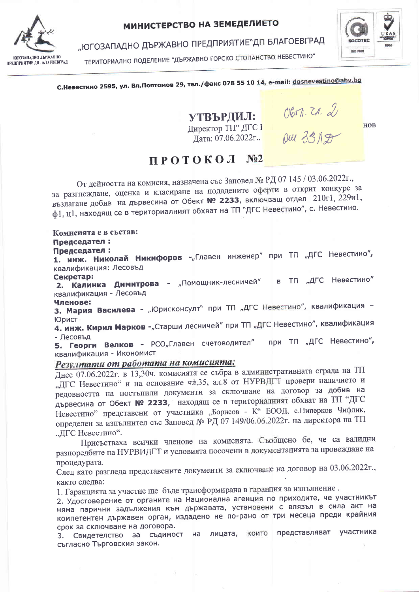

## МИНИСТЕРСТВО НА ЗЕМЕДЕЛИЕТО

"ЮГОЗАПАДНО ДЪРЖАВНО ПРЕДПРИЯТИЕ"ДП БЛАГОЕВГРАД

ТЕРИТОРИАЛНО ПОДЕЛЕНИЕ "ДЪРЖАВНО ГОРСКО СТОПАНСТВО НЕВЕСТИНО"



**HOB** 

С. Невестино 2595, ул. Вл. Поптомов 29, тел. / факс 078 55 10 14, e-mail: dgsnevestino@abv.bg

## УТВЪРДИЛ:

Директор ТП" ДГС I Лата: 07.06.2022г.

| Obth. Zr. 2 |  |
|-------------|--|
| Due 3312    |  |

## ПРОТОКОЛ  $N<sub>0</sub>2$

От дейността на комисия, назначена със Заповед № РД 07 145 / 03.06.2022г., за разглеждане, оценка и класиране на подадените оферти в открит конкурс за възлагане добив на дървесина от Обект № 2233, включващ отдел 210г1, 229и1, ф1, ц1, находящ се в териториалният обхват на ТП "ДГС Невестино", с. Невестино.

Комисията е в състав: Председател: Председател: 1. инж. Николай Никифоров -"Главен инженер" при ТП "ДГС Невестино", квалификация: Лесовъд Секретар:

в ТП "ДГС Невестино" 2. Калинка Димитрова - "Помощник-лесничей" квалификация - Лесовъд

Членове:

3. Мария Василева - "Юрисконсулт" при ТП "ДГС Невестино", квалификация -**Юрист** 

4. инж. Кирил Марков -"Старши лесничей" при ТП "ДГС Невестино", квалификация - Лесовъд

5. Георги Велков - РСО"Главен счетоводител" при ТП "ДГС Невестино", квалификация - Икономист

## Резултати от работата на комисията:

Днес 07.06.2022г. в 13,30ч. комисията се събра в административната сграда на ТП "ДГС Невестино" и на основание чл.35, ал.8 от НУРВДГТ провери наличието и редовността на постъпили документи за сключване на договор за добив на дървесина от Обект № 2233, находящ се в териториалният обхват на ТП "ДГС Невестино" представени от участника "Борисов - К" ЕООД, с. Пиперков Чифлик, определен за изпълнител със Заповед № РД 07 149/06.06.2022г. на директора на ТП "ДГС Невестино".

Присъстваха всички членове на комисията. Съобщено бе, че са валидни разпоредбите на НУРВИДГТ и условията посочени в документацията за провеждане на процедурата.

След като разгледа представените документи за сключване на договор на 03.06.2022г., както следва:

1. Гаранцията за участие ще бъде трансформирана в гаранция за изпълнение.

2. Удостоверение от органите на Национална агенция по приходите, че участникът няма парични задължения към държавата, установени с влязъл в сила акт на компетентен държавен орган, издадено не по-рано от три месеца преди крайния срок за сключване на договора.

3. Свидетелство за съдимост на лицата, които представляват участника съгласно Търговския закон.